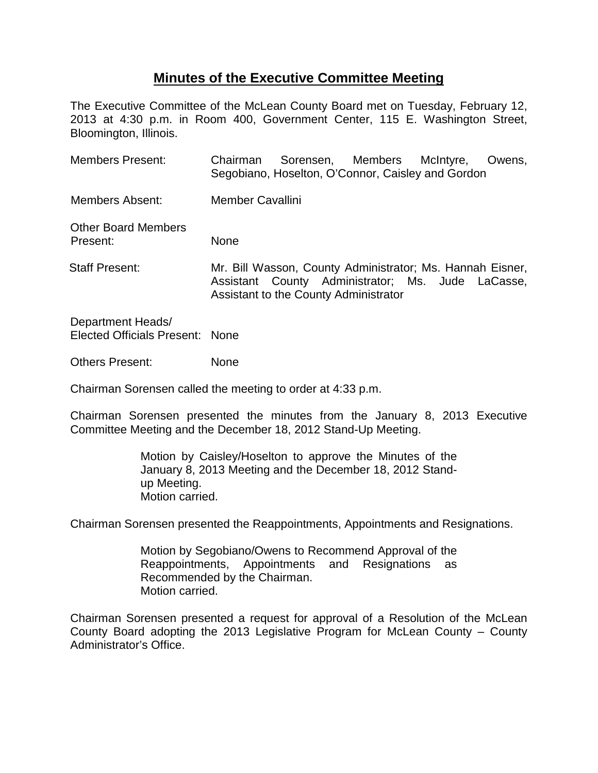## **Minutes of the Executive Committee Meeting**

The Executive Committee of the McLean County Board met on Tuesday, February 12, 2013 at 4:30 p.m. in Room 400, Government Center, 115 E. Washington Street, Bloomington, Illinois.

| <b>Members Present:</b>                | Sorensen, Members McIntyre,<br>Chairman<br>Owens.<br>Segobiano, Hoselton, O'Connor, Caisley and Gordon                                                  |
|----------------------------------------|---------------------------------------------------------------------------------------------------------------------------------------------------------|
| Members Absent:                        | Member Cavallini                                                                                                                                        |
| <b>Other Board Members</b><br>Present: | <b>None</b>                                                                                                                                             |
| Staff Present:                         | Mr. Bill Wasson, County Administrator; Ms. Hannah Eisner,<br>Assistant County Administrator; Ms. Jude LaCasse,<br>Assistant to the County Administrator |

Department Heads/ Elected Officials Present: None

Others Present: None

Chairman Sorensen called the meeting to order at 4:33 p.m.

Chairman Sorensen presented the minutes from the January 8, 2013 Executive Committee Meeting and the December 18, 2012 Stand-Up Meeting.

> Motion by Caisley/Hoselton to approve the Minutes of the January 8, 2013 Meeting and the December 18, 2012 Standup Meeting. Motion carried.

Chairman Sorensen presented the Reappointments, Appointments and Resignations.

Motion by Segobiano/Owens to Recommend Approval of the Reappointments, Appointments and Resignations as Recommended by the Chairman. Motion carried.

Chairman Sorensen presented a request for approval of a Resolution of the McLean County Board adopting the 2013 Legislative Program for McLean County – County Administrator's Office.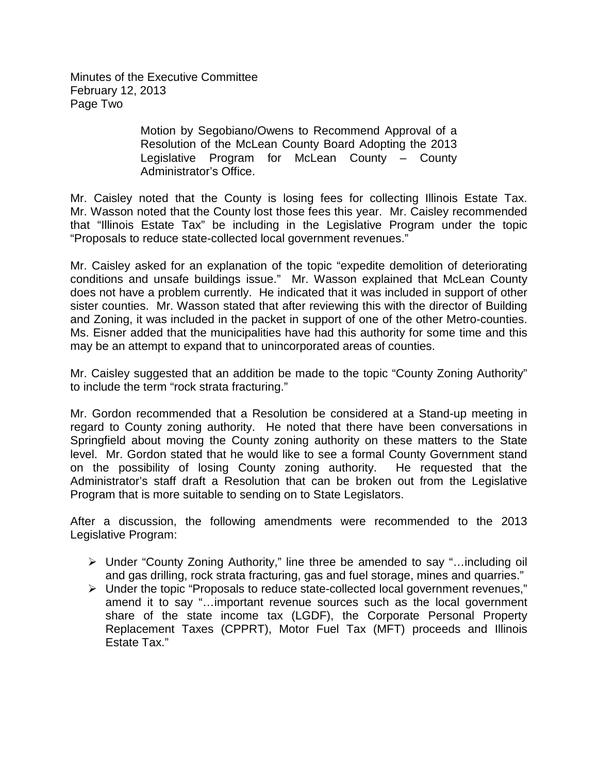Minutes of the Executive Committee February 12, 2013 Page Two

> Motion by Segobiano/Owens to Recommend Approval of a Resolution of the McLean County Board Adopting the 2013 Legislative Program for McLean County – County Administrator's Office.

Mr. Caisley noted that the County is losing fees for collecting Illinois Estate Tax. Mr. Wasson noted that the County lost those fees this year. Mr. Caisley recommended that "Illinois Estate Tax" be including in the Legislative Program under the topic "Proposals to reduce state-collected local government revenues."

Mr. Caisley asked for an explanation of the topic "expedite demolition of deteriorating conditions and unsafe buildings issue." Mr. Wasson explained that McLean County does not have a problem currently. He indicated that it was included in support of other sister counties. Mr. Wasson stated that after reviewing this with the director of Building and Zoning, it was included in the packet in support of one of the other Metro-counties. Ms. Eisner added that the municipalities have had this authority for some time and this may be an attempt to expand that to unincorporated areas of counties.

Mr. Caisley suggested that an addition be made to the topic "County Zoning Authority" to include the term "rock strata fracturing."

Mr. Gordon recommended that a Resolution be considered at a Stand-up meeting in regard to County zoning authority. He noted that there have been conversations in Springfield about moving the County zoning authority on these matters to the State level. Mr. Gordon stated that he would like to see a formal County Government stand on the possibility of losing County zoning authority. He requested that the Administrator's staff draft a Resolution that can be broken out from the Legislative Program that is more suitable to sending on to State Legislators.

After a discussion, the following amendments were recommended to the 2013 Legislative Program:

- Under "County Zoning Authority," line three be amended to say "…including oil and gas drilling, rock strata fracturing, gas and fuel storage, mines and quarries."
- Under the topic "Proposals to reduce state-collected local government revenues," amend it to say "…important revenue sources such as the local government share of the state income tax (LGDF), the Corporate Personal Property Replacement Taxes (CPPRT), Motor Fuel Tax (MFT) proceeds and Illinois Estate Tax."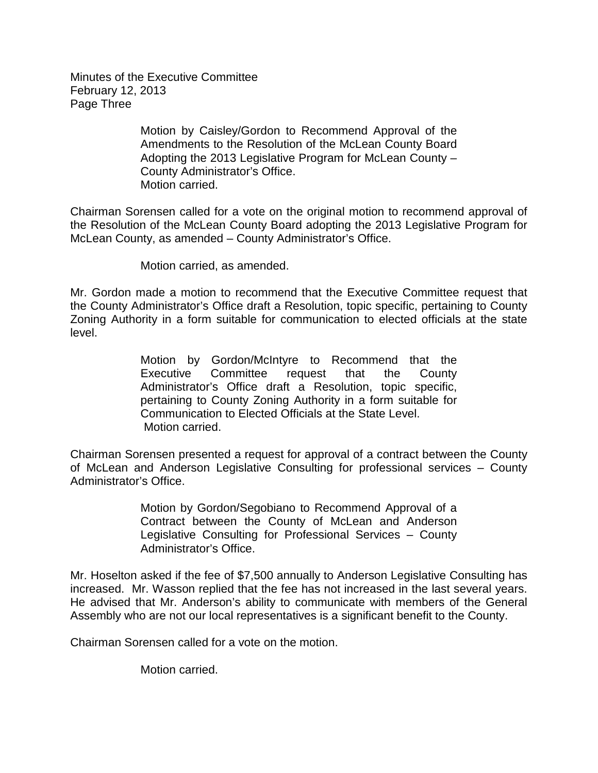Minutes of the Executive Committee February 12, 2013 Page Three

> Motion by Caisley/Gordon to Recommend Approval of the Amendments to the Resolution of the McLean County Board Adopting the 2013 Legislative Program for McLean County – County Administrator's Office. Motion carried.

Chairman Sorensen called for a vote on the original motion to recommend approval of the Resolution of the McLean County Board adopting the 2013 Legislative Program for McLean County, as amended – County Administrator's Office.

Motion carried, as amended.

Mr. Gordon made a motion to recommend that the Executive Committee request that the County Administrator's Office draft a Resolution, topic specific, pertaining to County Zoning Authority in a form suitable for communication to elected officials at the state level.

> Motion by Gordon/McIntyre to Recommend that the Executive Committee request that the County Administrator's Office draft a Resolution, topic specific, pertaining to County Zoning Authority in a form suitable for Communication to Elected Officials at the State Level. Motion carried.

Chairman Sorensen presented a request for approval of a contract between the County of McLean and Anderson Legislative Consulting for professional services – County Administrator's Office.

> Motion by Gordon/Segobiano to Recommend Approval of a Contract between the County of McLean and Anderson Legislative Consulting for Professional Services – County Administrator's Office.

Mr. Hoselton asked if the fee of \$7,500 annually to Anderson Legislative Consulting has increased. Mr. Wasson replied that the fee has not increased in the last several years. He advised that Mr. Anderson's ability to communicate with members of the General Assembly who are not our local representatives is a significant benefit to the County.

Chairman Sorensen called for a vote on the motion.

Motion carried.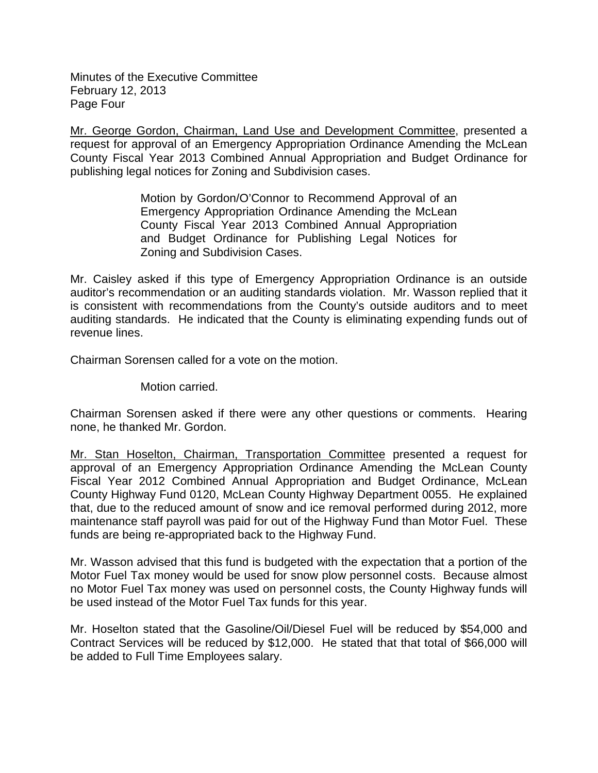Minutes of the Executive Committee February 12, 2013 Page Four

Mr. George Gordon, Chairman, Land Use and Development Committee, presented a request for approval of an Emergency Appropriation Ordinance Amending the McLean County Fiscal Year 2013 Combined Annual Appropriation and Budget Ordinance for publishing legal notices for Zoning and Subdivision cases.

> Motion by Gordon/O'Connor to Recommend Approval of an Emergency Appropriation Ordinance Amending the McLean County Fiscal Year 2013 Combined Annual Appropriation and Budget Ordinance for Publishing Legal Notices for Zoning and Subdivision Cases.

Mr. Caisley asked if this type of Emergency Appropriation Ordinance is an outside auditor's recommendation or an auditing standards violation. Mr. Wasson replied that it is consistent with recommendations from the County's outside auditors and to meet auditing standards. He indicated that the County is eliminating expending funds out of revenue lines.

Chairman Sorensen called for a vote on the motion.

Motion carried.

Chairman Sorensen asked if there were any other questions or comments. Hearing none, he thanked Mr. Gordon.

Mr. Stan Hoselton, Chairman, Transportation Committee presented a request for approval of an Emergency Appropriation Ordinance Amending the McLean County Fiscal Year 2012 Combined Annual Appropriation and Budget Ordinance, McLean County Highway Fund 0120, McLean County Highway Department 0055. He explained that, due to the reduced amount of snow and ice removal performed during 2012, more maintenance staff payroll was paid for out of the Highway Fund than Motor Fuel. These funds are being re-appropriated back to the Highway Fund.

Mr. Wasson advised that this fund is budgeted with the expectation that a portion of the Motor Fuel Tax money would be used for snow plow personnel costs. Because almost no Motor Fuel Tax money was used on personnel costs, the County Highway funds will be used instead of the Motor Fuel Tax funds for this year.

Mr. Hoselton stated that the Gasoline/Oil/Diesel Fuel will be reduced by \$54,000 and Contract Services will be reduced by \$12,000. He stated that that total of \$66,000 will be added to Full Time Employees salary.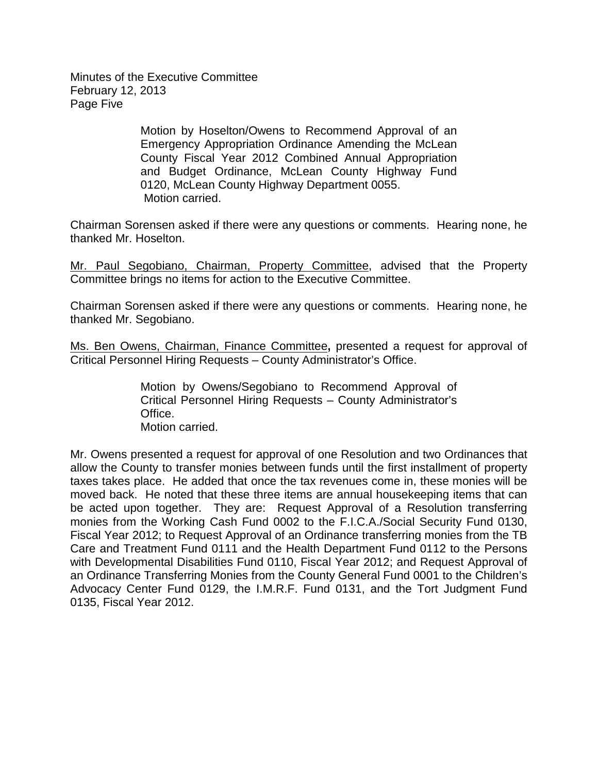Minutes of the Executive Committee February 12, 2013 Page Five

> Motion by Hoselton/Owens to Recommend Approval of an Emergency Appropriation Ordinance Amending the McLean County Fiscal Year 2012 Combined Annual Appropriation and Budget Ordinance, McLean County Highway Fund 0120, McLean County Highway Department 0055. Motion carried.

Chairman Sorensen asked if there were any questions or comments. Hearing none, he thanked Mr. Hoselton.

Mr. Paul Segobiano, Chairman, Property Committee, advised that the Property Committee brings no items for action to the Executive Committee.

Chairman Sorensen asked if there were any questions or comments. Hearing none, he thanked Mr. Segobiano.

Ms. Ben Owens, Chairman, Finance Committee**,** presented a request for approval of Critical Personnel Hiring Requests – County Administrator's Office.

> Motion by Owens/Segobiano to Recommend Approval of Critical Personnel Hiring Requests – County Administrator's Office. Motion carried.

Mr. Owens presented a request for approval of one Resolution and two Ordinances that allow the County to transfer monies between funds until the first installment of property taxes takes place. He added that once the tax revenues come in, these monies will be moved back. He noted that these three items are annual housekeeping items that can be acted upon together. They are: Request Approval of a Resolution transferring monies from the Working Cash Fund 0002 to the F.I.C.A./Social Security Fund 0130, Fiscal Year 2012; to Request Approval of an Ordinance transferring monies from the TB Care and Treatment Fund 0111 and the Health Department Fund 0112 to the Persons with Developmental Disabilities Fund 0110, Fiscal Year 2012; and Request Approval of an Ordinance Transferring Monies from the County General Fund 0001 to the Children's Advocacy Center Fund 0129, the I.M.R.F. Fund 0131, and the Tort Judgment Fund 0135, Fiscal Year 2012.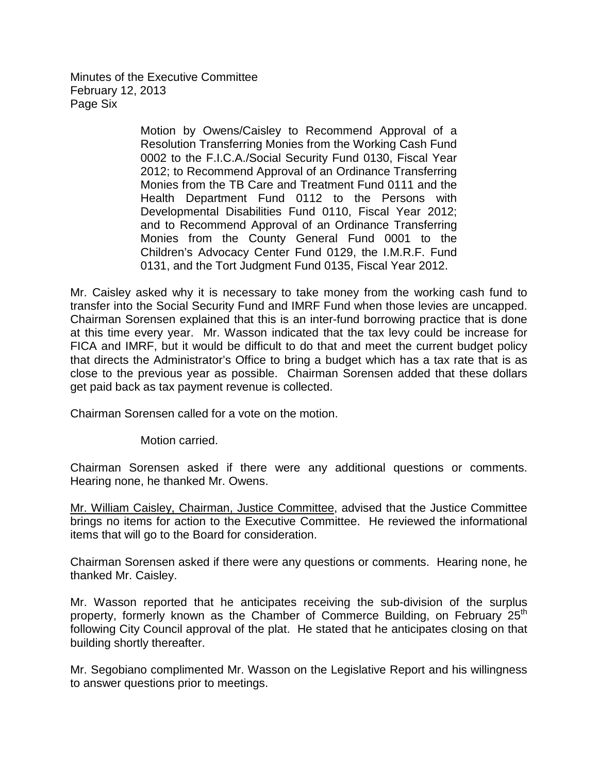Minutes of the Executive Committee February 12, 2013 Page Six

> Motion by Owens/Caisley to Recommend Approval of a Resolution Transferring Monies from the Working Cash Fund 0002 to the F.I.C.A./Social Security Fund 0130, Fiscal Year 2012; to Recommend Approval of an Ordinance Transferring Monies from the TB Care and Treatment Fund 0111 and the Health Department Fund 0112 to the Persons with Developmental Disabilities Fund 0110, Fiscal Year 2012; and to Recommend Approval of an Ordinance Transferring Monies from the County General Fund 0001 to the Children's Advocacy Center Fund 0129, the I.M.R.F. Fund 0131, and the Tort Judgment Fund 0135, Fiscal Year 2012.

Mr. Caisley asked why it is necessary to take money from the working cash fund to transfer into the Social Security Fund and IMRF Fund when those levies are uncapped. Chairman Sorensen explained that this is an inter-fund borrowing practice that is done at this time every year. Mr. Wasson indicated that the tax levy could be increase for FICA and IMRF, but it would be difficult to do that and meet the current budget policy that directs the Administrator's Office to bring a budget which has a tax rate that is as close to the previous year as possible. Chairman Sorensen added that these dollars get paid back as tax payment revenue is collected.

Chairman Sorensen called for a vote on the motion.

Motion carried.

Chairman Sorensen asked if there were any additional questions or comments. Hearing none, he thanked Mr. Owens.

Mr. William Caisley, Chairman, Justice Committee, advised that the Justice Committee brings no items for action to the Executive Committee. He reviewed the informational items that will go to the Board for consideration.

Chairman Sorensen asked if there were any questions or comments. Hearing none, he thanked Mr. Caisley.

Mr. Wasson reported that he anticipates receiving the sub-division of the surplus property, formerly known as the Chamber of Commerce Building, on February 25<sup>th</sup> following City Council approval of the plat. He stated that he anticipates closing on that building shortly thereafter.

Mr. Segobiano complimented Mr. Wasson on the Legislative Report and his willingness to answer questions prior to meetings.